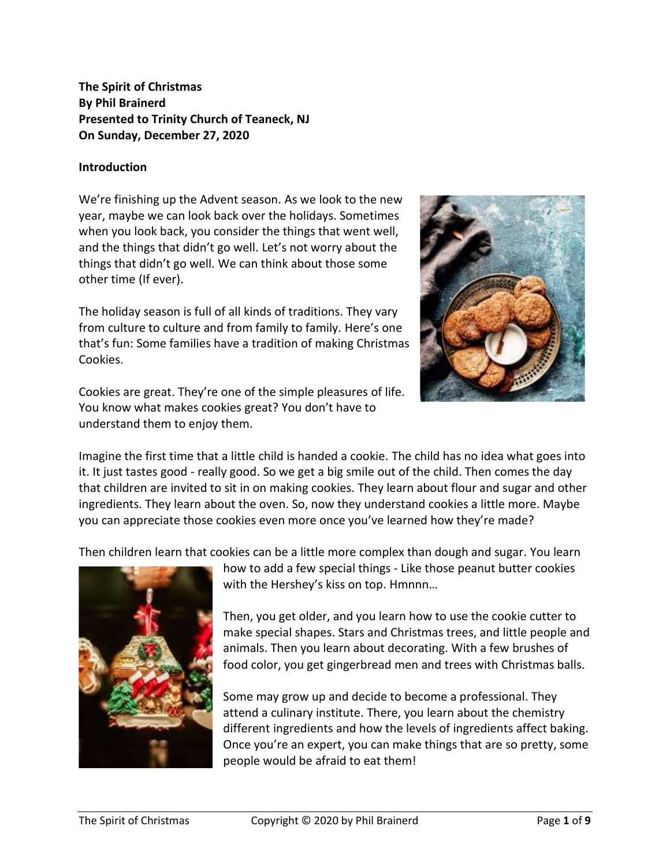# **The Spirit of Christmas By Phil Brainerd Presented to Trinity Church of Teaneck, NJ On Sunday, December 27, 2020**

#### **Introduction**

We're finishing up the Advent season. As we look to the new year, maybe we can look back over the holidays. Sometimes when you look back, you consider the things that went well, and the things that didn't go well. Let's not worry about the things that didn't go well. We can think about those some other time (If ever).

The holiday season is full of all kinds of traditions. They vary from culture to culture and from family to family. Here's one that's fun: Some families have a tradition of making Christmas Cookies.

Cookies are great. They're one of the simple pleasures of life. You know what makes cookies great? You don't have to understand them to enjoy them.



Imagine the first time that a little child is handed a cookie. The child has no idea what goes into it. It just tastes good - really good. So we get a big smile out of the child. Then comes the day that children are invited to sit in on making cookies. They learn about flour and sugar and other ingredients. They learn about the oven. So, now they understand cookies a little more. Maybe you can appreciate those cookies even more once you've learned how they're made?

Then children learn that cookies can be a little more complex than dough and sugar. You learn



how to add a few special things - Like those peanut butter cookies with the Hershey's kiss on top. Hmnnn…

Then, you get older, and you learn how to use the cookie cutter to make special shapes. Stars and Christmas trees, and little people and animals. Then you learn about decorating. With a few brushes of food color, you get gingerbread men and trees with Christmas balls.

Some may grow up and decide to become a professional. They attend a culinary institute. There, you learn about the chemistry different ingredients and how the levels of ingredients affect baking. Once you're an expert, you can make things that are so pretty, some people would be afraid to eat them!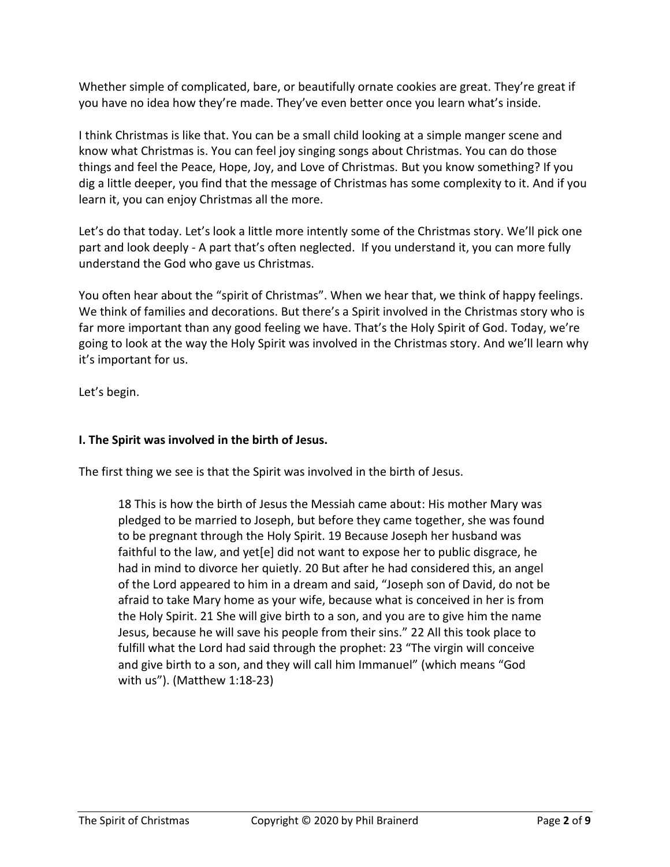Whether simple of complicated, bare, or beautifully ornate cookies are great. They're great if you have no idea how they're made. They've even better once you learn what's inside.

I think Christmas is like that. You can be a small child looking at a simple manger scene and know what Christmas is. You can feel joy singing songs about Christmas. You can do those things and feel the Peace, Hope, Joy, and Love of Christmas. But you know something? If you dig a little deeper, you find that the message of Christmas has some complexity to it. And if you learn it, you can enjoy Christmas all the more.

Let's do that today. Let's look a little more intently some of the Christmas story. We'll pick one part and look deeply - A part that's often neglected. If you understand it, you can more fully understand the God who gave us Christmas.

You often hear about the "spirit of Christmas". When we hear that, we think of happy feelings. We think of families and decorations. But there's a Spirit involved in the Christmas story who is far more important than any good feeling we have. That's the Holy Spirit of God. Today, we're going to look at the way the Holy Spirit was involved in the Christmas story. And we'll learn why it's important for us.

Let's begin.

### **I. The Spirit was involved in the birth of Jesus.**

The first thing we see is that the Spirit was involved in the birth of Jesus.

18 This is how the birth of Jesus the Messiah came about: His mother Mary was pledged to be married to Joseph, but before they came together, she was found to be pregnant through the Holy Spirit. 19 Because Joseph her husband was faithful to the law, and yet[e] did not want to expose her to public disgrace, he had in mind to divorce her quietly. 20 But after he had considered this, an angel of the Lord appeared to him in a dream and said, "Joseph son of David, do not be afraid to take Mary home as your wife, because what is conceived in her is from the Holy Spirit. 21 She will give birth to a son, and you are to give him the name Jesus, because he will save his people from their sins." 22 All this took place to fulfill what the Lord had said through the prophet: 23 "The virgin will conceive and give birth to a son, and they will call him Immanuel" (which means "God with us"). (Matthew 1:18-23)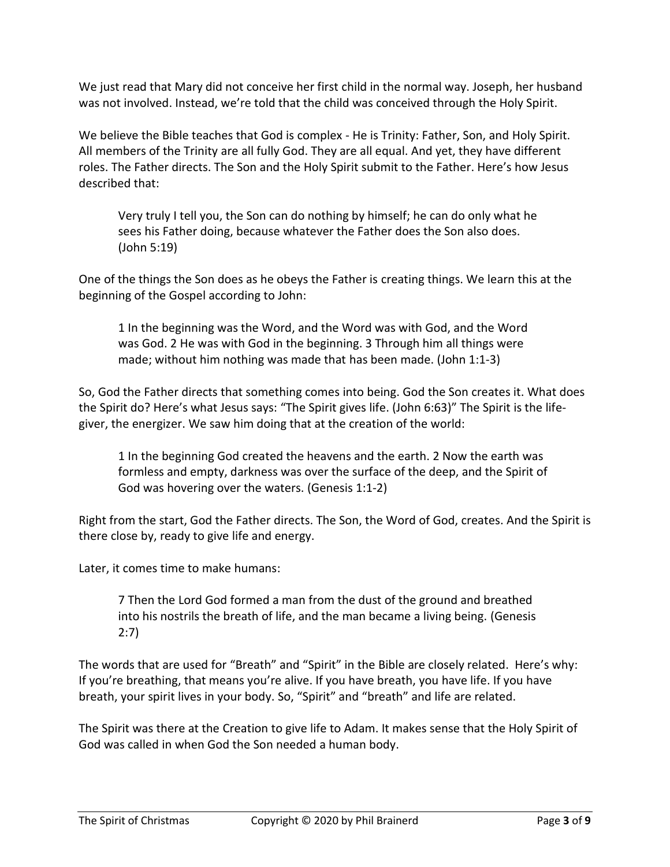We just read that Mary did not conceive her first child in the normal way. Joseph, her husband was not involved. Instead, we're told that the child was conceived through the Holy Spirit.

We believe the Bible teaches that God is complex - He is Trinity: Father, Son, and Holy Spirit. All members of the Trinity are all fully God. They are all equal. And yet, they have different roles. The Father directs. The Son and the Holy Spirit submit to the Father. Here's how Jesus described that:

Very truly I tell you, the Son can do nothing by himself; he can do only what he sees his Father doing, because whatever the Father does the Son also does. (John 5:19)

One of the things the Son does as he obeys the Father is creating things. We learn this at the beginning of the Gospel according to John:

1 In the beginning was the Word, and the Word was with God, and the Word was God. 2 He was with God in the beginning. 3 Through him all things were made; without him nothing was made that has been made. (John 1:1-3)

So, God the Father directs that something comes into being. God the Son creates it. What does the Spirit do? Here's what Jesus says: "The Spirit gives life. (John 6:63)" The Spirit is the lifegiver, the energizer. We saw him doing that at the creation of the world:

1 In the beginning God created the heavens and the earth. 2 Now the earth was formless and empty, darkness was over the surface of the deep, and the Spirit of God was hovering over the waters. (Genesis 1:1-2)

Right from the start, God the Father directs. The Son, the Word of God, creates. And the Spirit is there close by, ready to give life and energy.

Later, it comes time to make humans:

7 Then the Lord God formed a man from the dust of the ground and breathed into his nostrils the breath of life, and the man became a living being. (Genesis 2:7)

The words that are used for "Breath" and "Spirit" in the Bible are closely related. Here's why: If you're breathing, that means you're alive. If you have breath, you have life. If you have breath, your spirit lives in your body. So, "Spirit" and "breath" and life are related.

The Spirit was there at the Creation to give life to Adam. It makes sense that the Holy Spirit of God was called in when God the Son needed a human body.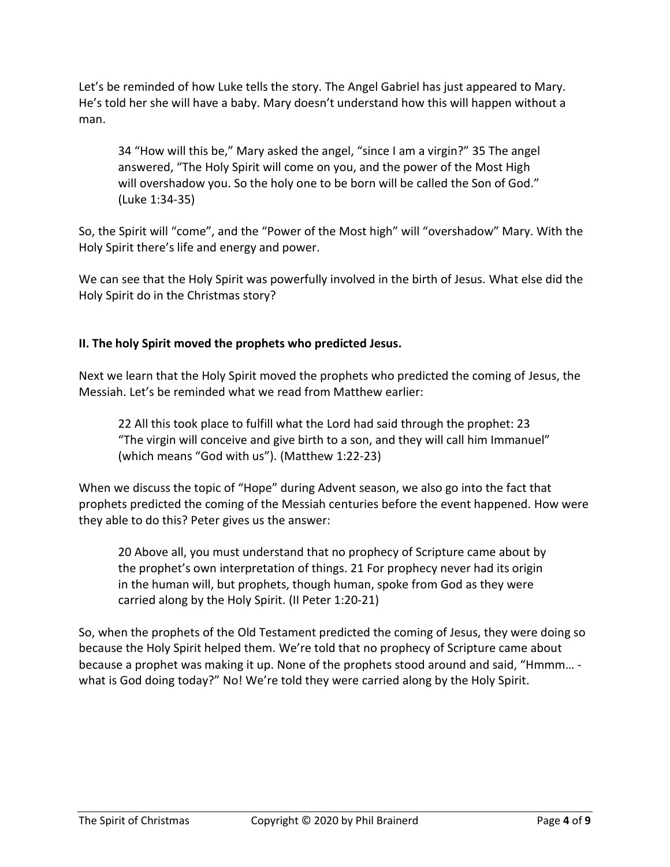Let's be reminded of how Luke tells the story. The Angel Gabriel has just appeared to Mary. He's told her she will have a baby. Mary doesn't understand how this will happen without a man.

34 "How will this be," Mary asked the angel, "since I am a virgin?" 35 The angel answered, "The Holy Spirit will come on you, and the power of the Most High will overshadow you. So the holy one to be born will be called the Son of God." (Luke 1:34-35)

So, the Spirit will "come", and the "Power of the Most high" will "overshadow" Mary. With the Holy Spirit there's life and energy and power.

We can see that the Holy Spirit was powerfully involved in the birth of Jesus. What else did the Holy Spirit do in the Christmas story?

# **II. The holy Spirit moved the prophets who predicted Jesus.**

Next we learn that the Holy Spirit moved the prophets who predicted the coming of Jesus, the Messiah. Let's be reminded what we read from Matthew earlier:

22 All this took place to fulfill what the Lord had said through the prophet: 23 "The virgin will conceive and give birth to a son, and they will call him Immanuel" (which means "God with us"). (Matthew 1:22-23)

When we discuss the topic of "Hope" during Advent season, we also go into the fact that prophets predicted the coming of the Messiah centuries before the event happened. How were they able to do this? Peter gives us the answer:

20 Above all, you must understand that no prophecy of Scripture came about by the prophet's own interpretation of things. 21 For prophecy never had its origin in the human will, but prophets, though human, spoke from God as they were carried along by the Holy Spirit. (II Peter 1:20-21)

So, when the prophets of the Old Testament predicted the coming of Jesus, they were doing so because the Holy Spirit helped them. We're told that no prophecy of Scripture came about because a prophet was making it up. None of the prophets stood around and said, "Hmmm… what is God doing today?" No! We're told they were carried along by the Holy Spirit.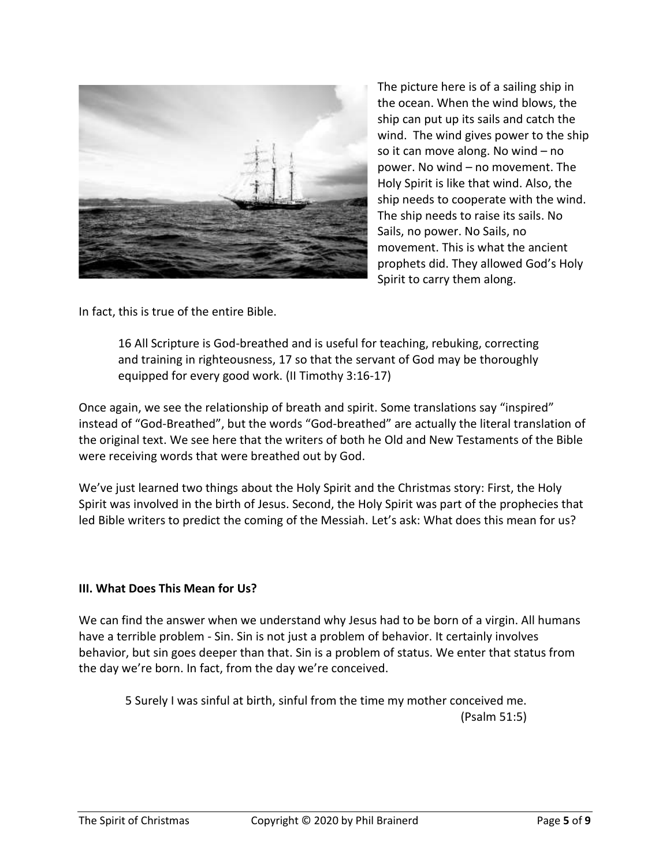

The picture here is of a sailing ship in the ocean. When the wind blows, the ship can put up its sails and catch the wind. The wind gives power to the ship so it can move along. No wind – no power. No wind – no movement. The Holy Spirit is like that wind. Also, the ship needs to cooperate with the wind. The ship needs to raise its sails. No Sails, no power. No Sails, no movement. This is what the ancient prophets did. They allowed God's Holy Spirit to carry them along.

In fact, this is true of the entire Bible.

16 All Scripture is God-breathed and is useful for teaching, rebuking, correcting and training in righteousness, 17 so that the servant of God may be thoroughly equipped for every good work. (II Timothy 3:16-17)

Once again, we see the relationship of breath and spirit. Some translations say "inspired" instead of "God-Breathed", but the words "God-breathed" are actually the literal translation of the original text. We see here that the writers of both he Old and New Testaments of the Bible were receiving words that were breathed out by God.

We've just learned two things about the Holy Spirit and the Christmas story: First, the Holy Spirit was involved in the birth of Jesus. Second, the Holy Spirit was part of the prophecies that led Bible writers to predict the coming of the Messiah. Let's ask: What does this mean for us?

#### **III. What Does This Mean for Us?**

We can find the answer when we understand why Jesus had to be born of a virgin. All humans have a terrible problem - Sin. Sin is not just a problem of behavior. It certainly involves behavior, but sin goes deeper than that. Sin is a problem of status. We enter that status from the day we're born. In fact, from the day we're conceived.

5 Surely I was sinful at birth, sinful from the time my mother conceived me. (Psalm 51:5)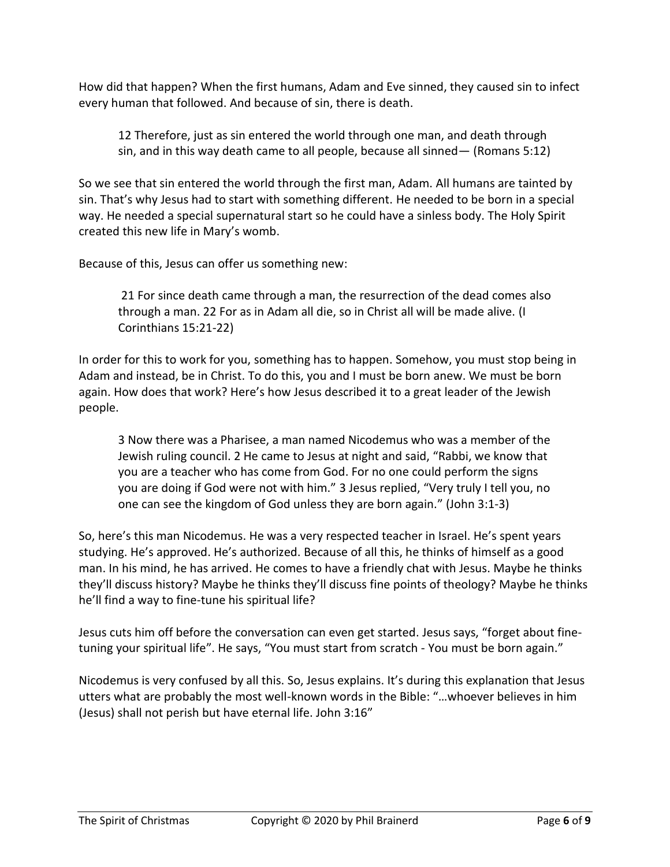How did that happen? When the first humans, Adam and Eve sinned, they caused sin to infect every human that followed. And because of sin, there is death.

12 Therefore, just as sin entered the world through one man, and death through sin, and in this way death came to all people, because all sinned— (Romans 5:12)

So we see that sin entered the world through the first man, Adam. All humans are tainted by sin. That's why Jesus had to start with something different. He needed to be born in a special way. He needed a special supernatural start so he could have a sinless body. The Holy Spirit created this new life in Mary's womb.

Because of this, Jesus can offer us something new:

21 For since death came through a man, the resurrection of the dead comes also through a man. 22 For as in Adam all die, so in Christ all will be made alive. (I Corinthians 15:21-22)

In order for this to work for you, something has to happen. Somehow, you must stop being in Adam and instead, be in Christ. To do this, you and I must be born anew. We must be born again. How does that work? Here's how Jesus described it to a great leader of the Jewish people.

3 Now there was a Pharisee, a man named Nicodemus who was a member of the Jewish ruling council. 2 He came to Jesus at night and said, "Rabbi, we know that you are a teacher who has come from God. For no one could perform the signs you are doing if God were not with him." 3 Jesus replied, "Very truly I tell you, no one can see the kingdom of God unless they are born again." (John 3:1-3)

So, here's this man Nicodemus. He was a very respected teacher in Israel. He's spent years studying. He's approved. He's authorized. Because of all this, he thinks of himself as a good man. In his mind, he has arrived. He comes to have a friendly chat with Jesus. Maybe he thinks they'll discuss history? Maybe he thinks they'll discuss fine points of theology? Maybe he thinks he'll find a way to fine-tune his spiritual life?

Jesus cuts him off before the conversation can even get started. Jesus says, "forget about finetuning your spiritual life". He says, "You must start from scratch - You must be born again."

Nicodemus is very confused by all this. So, Jesus explains. It's during this explanation that Jesus utters what are probably the most well-known words in the Bible: "…whoever believes in him (Jesus) shall not perish but have eternal life. John 3:16"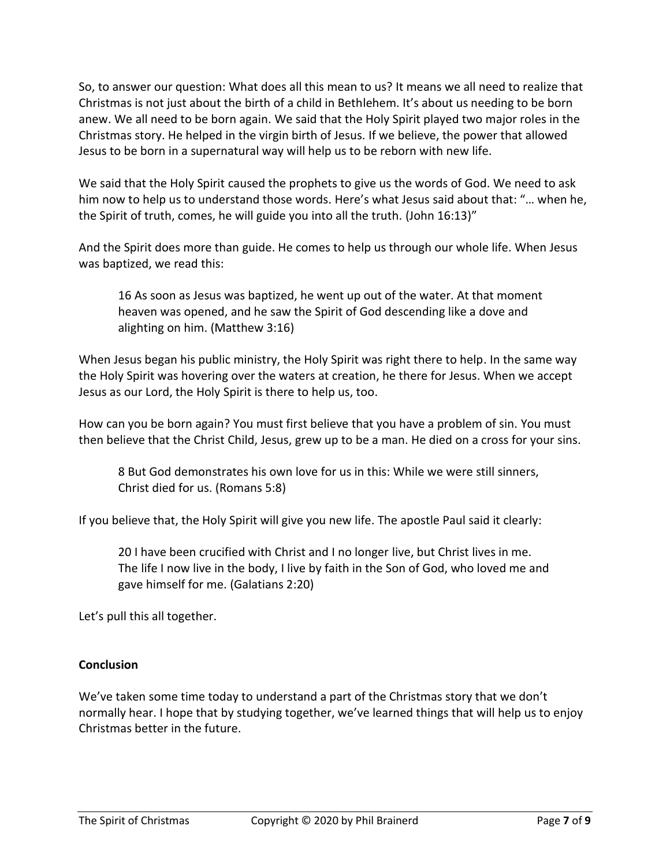So, to answer our question: What does all this mean to us? It means we all need to realize that Christmas is not just about the birth of a child in Bethlehem. It's about us needing to be born anew. We all need to be born again. We said that the Holy Spirit played two major roles in the Christmas story. He helped in the virgin birth of Jesus. If we believe, the power that allowed Jesus to be born in a supernatural way will help us to be reborn with new life.

We said that the Holy Spirit caused the prophets to give us the words of God. We need to ask him now to help us to understand those words. Here's what Jesus said about that: "… when he, the Spirit of truth, comes, he will guide you into all the truth. (John 16:13)"

And the Spirit does more than guide. He comes to help us through our whole life. When Jesus was baptized, we read this:

16 As soon as Jesus was baptized, he went up out of the water. At that moment heaven was opened, and he saw the Spirit of God descending like a dove and alighting on him. (Matthew 3:16)

When Jesus began his public ministry, the Holy Spirit was right there to help. In the same way the Holy Spirit was hovering over the waters at creation, he there for Jesus. When we accept Jesus as our Lord, the Holy Spirit is there to help us, too.

How can you be born again? You must first believe that you have a problem of sin. You must then believe that the Christ Child, Jesus, grew up to be a man. He died on a cross for your sins.

8 But God demonstrates his own love for us in this: While we were still sinners, Christ died for us. (Romans 5:8)

If you believe that, the Holy Spirit will give you new life. The apostle Paul said it clearly:

20 I have been crucified with Christ and I no longer live, but Christ lives in me. The life I now live in the body, I live by faith in the Son of God, who loved me and gave himself for me. (Galatians 2:20)

Let's pull this all together.

#### **Conclusion**

We've taken some time today to understand a part of the Christmas story that we don't normally hear. I hope that by studying together, we've learned things that will help us to enjoy Christmas better in the future.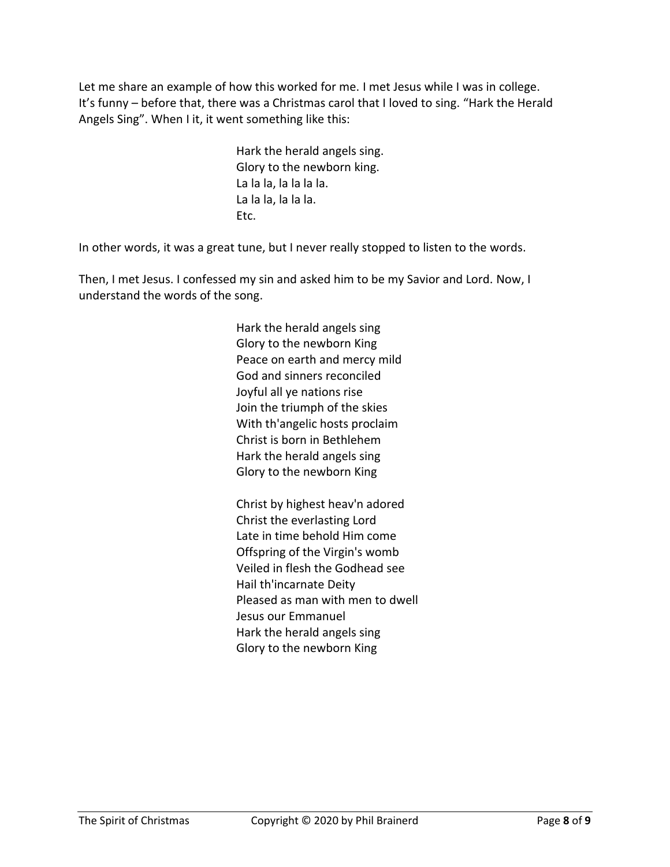Let me share an example of how this worked for me. I met Jesus while I was in college. It's funny – before that, there was a Christmas carol that I loved to sing. "Hark the Herald Angels Sing". When I it, it went something like this:

> Hark the herald angels sing. Glory to the newborn king. La la la, la la la la. La la la, la la la. Etc.

In other words, it was a great tune, but I never really stopped to listen to the words.

Then, I met Jesus. I confessed my sin and asked him to be my Savior and Lord. Now, I understand the words of the song.

> Hark the herald angels sing Glory to the newborn King Peace on earth and mercy mild God and sinners reconciled Joyful all ye nations rise Join the triumph of the skies With th'angelic hosts proclaim Christ is born in Bethlehem Hark the herald angels sing Glory to the newborn King

Christ by highest heav'n adored Christ the everlasting Lord Late in time behold Him come Offspring of the Virgin's womb Veiled in flesh the Godhead see Hail th'incarnate Deity Pleased as man with men to dwell Jesus our Emmanuel Hark the herald angels sing Glory to the newborn King